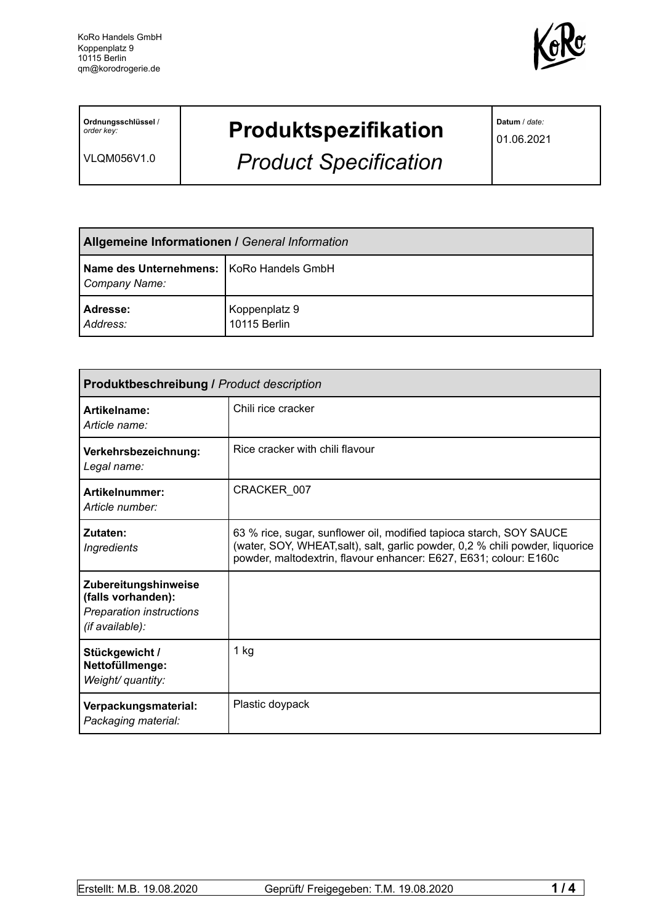

**Ordnungsschlüssel** / *order key:*

VLQM056V1.0

## **Produktspezifikation**

*Product Specification*

**Datum** / *date:*

01.06.2021

| <b>Allgemeine Informationen / General Information</b>       |                               |  |
|-------------------------------------------------------------|-------------------------------|--|
| Name des Unternehmens:   KoRo Handels GmbH<br>Company Name: |                               |  |
| Adresse:<br>Address:                                        | Koppenplatz 9<br>10115 Berlin |  |

| Produktbeschreibung / Product description                                                 |                                                                                                                                                                                                                           |  |  |
|-------------------------------------------------------------------------------------------|---------------------------------------------------------------------------------------------------------------------------------------------------------------------------------------------------------------------------|--|--|
| Artikelname:<br>Article name:                                                             | Chili rice cracker                                                                                                                                                                                                        |  |  |
| Verkehrsbezeichnung:<br>Legal name:                                                       | Rice cracker with chili flavour                                                                                                                                                                                           |  |  |
| Artikelnummer:<br>Article number:                                                         | CRACKER_007                                                                                                                                                                                                               |  |  |
| Zutaten:<br><b>Ingredients</b>                                                            | 63 % rice, sugar, sunflower oil, modified tapioca starch, SOY SAUCE<br>(water, SOY, WHEAT, salt), salt, garlic powder, 0,2 % chili powder, liquorice<br>powder, maltodextrin, flavour enhancer: E627, E631; colour: E160c |  |  |
| Zubereitungshinweise<br>(falls vorhanden):<br>Preparation instructions<br>(if available): |                                                                                                                                                                                                                           |  |  |
| Stückgewicht /<br>Nettofüllmenge:<br>Weight/ quantity:                                    | $1$ kg                                                                                                                                                                                                                    |  |  |
| Verpackungsmaterial:<br>Packaging material:                                               | Plastic doypack                                                                                                                                                                                                           |  |  |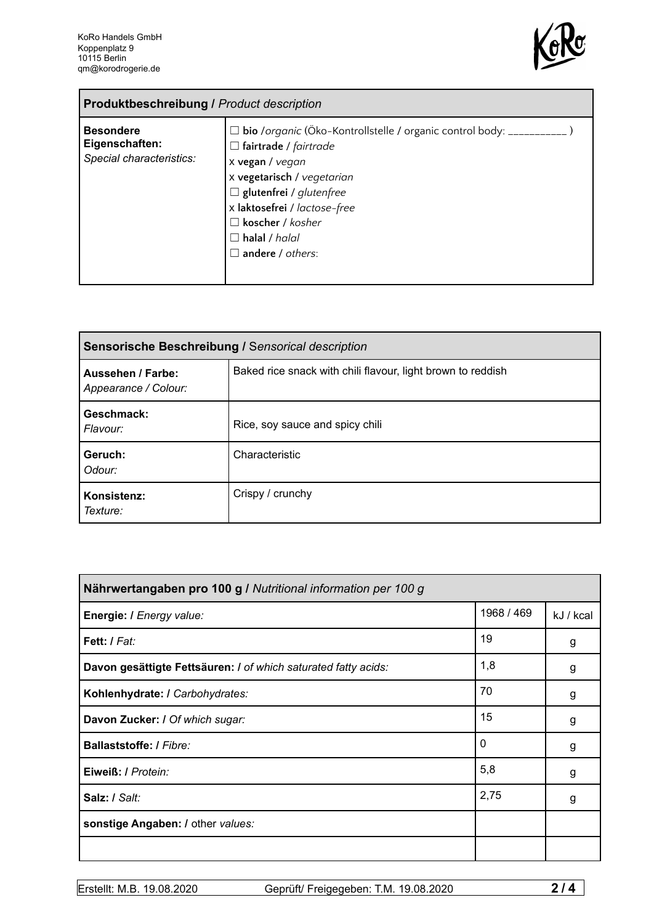

| <b>Produktbeschreibung / Product description</b>               |                                                                                                                                                                                                                                                                                                        |  |
|----------------------------------------------------------------|--------------------------------------------------------------------------------------------------------------------------------------------------------------------------------------------------------------------------------------------------------------------------------------------------------|--|
| <b>Besondere</b><br>Eigenschaften:<br>Special characteristics: | □ bio /organic (Öko-Kontrollstelle / organic control body: __________<br>$\Box$ fairtrade / fairtrade<br>x vegan / vegan<br>x vegetarisch / vegetarian<br>$\Box$ glutenfrei / glutenfree<br>x laktosefrei / lactose-free<br>$\Box$ koscher / kosher<br>$\Box$ halal / halal<br>$\Box$ andere / others: |  |

| Sensorische Beschreibung / Sensorical description |                                                             |  |
|---------------------------------------------------|-------------------------------------------------------------|--|
| Aussehen / Farbe:<br>Appearance / Colour:         | Baked rice snack with chili flavour, light brown to reddish |  |
| Geschmack:<br>Flavour:                            | Rice, soy sauce and spicy chili                             |  |
| Geruch:<br>Odour:                                 | Characteristic                                              |  |
| Konsistenz:<br>Texture:                           | Crispy / crunchy                                            |  |

| Nährwertangaben pro 100 g / Nutritional information per 100 g  |            |           |  |
|----------------------------------------------------------------|------------|-----------|--|
| Energie: I Energy value:                                       | 1968 / 469 | kJ / kcal |  |
| Fett: / Fat:                                                   | 19         | g         |  |
| Davon gesättigte Fettsäuren: I of which saturated fatty acids: | 1,8        | g         |  |
| Kohlenhydrate: I Carbohydrates:                                | 70         | g         |  |
| Davon Zucker: / Of which sugar:                                | 15         | g         |  |
| <b>Ballaststoffe: / Fibre:</b>                                 | 0          | g         |  |
| Eiweiß: / Protein:                                             | 5,8        | g         |  |
| Salz: / Salt:                                                  | 2,75       | g         |  |
| sonstige Angaben: / other values:                              |            |           |  |
|                                                                |            |           |  |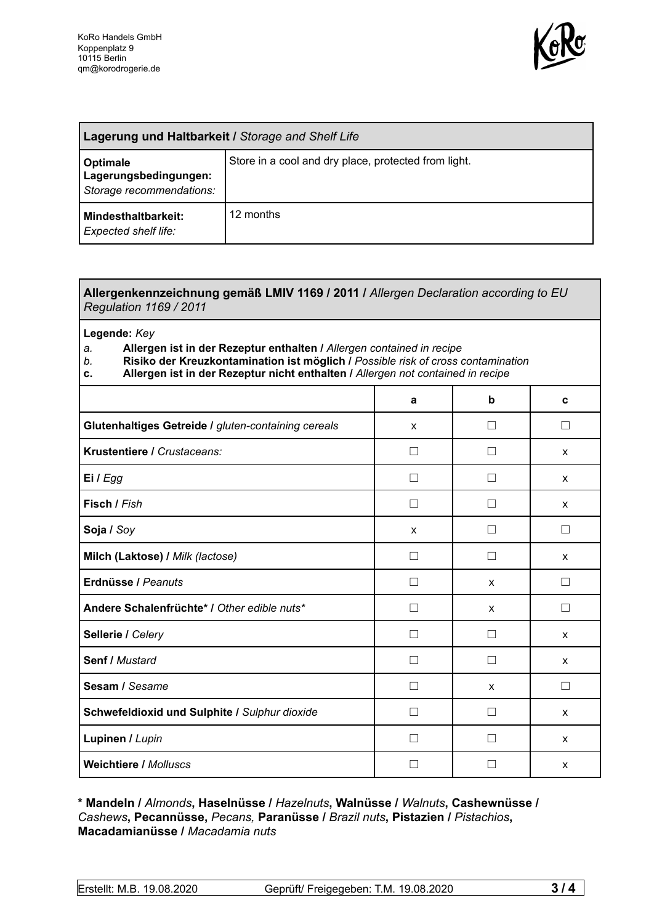

| Lagerung und Haltbarkeit / Storage and Shelf Life             |                                                      |  |
|---------------------------------------------------------------|------------------------------------------------------|--|
| Optimale<br>Lagerungsbedingungen:<br>Storage recommendations: | Store in a cool and dry place, protected from light. |  |
| Mindesthaltbarkeit:<br>Expected shelf life:                   | 12 months                                            |  |

## **Allergenkennzeichnung gemäß LMIV 1169 / 2011 /** *Allergen Declaration according to EU Regulation 1169 / 2011*

**Legende:** *Key*

*a.* **Allergen ist in der Rezeptur enthalten /** *Allergen contained in recipe*

- *b.* **Risiko der Kreuzkontamination ist möglich /** *Possible risk of cross contamination*
- **c. Allergen ist in der Rezeptur nicht enthalten /** *Allergen not contained in recipe*

|                                                     | a             | b                 | C            |
|-----------------------------------------------------|---------------|-------------------|--------------|
| Glutenhaltiges Getreide / gluten-containing cereals | X             | П                 | П            |
| Krustentiere / Crustaceans:                         |               | $\vert \ \ \vert$ | X            |
| Ei / Egg                                            |               | $\vert \ \ \vert$ | $\mathsf{x}$ |
| Fisch / Fish                                        | $\mathsf{L}$  | П                 | X            |
| Soja / Soy                                          | X             | П                 | П            |
| Milch (Laktose) / Milk (lactose)                    | $\mathsf{L}$  | П                 | X            |
| Erdnüsse / Peanuts                                  | $\mathsf{L}$  | X                 | $\Box$       |
| Andere Schalenfrüchte* I Other edible nuts*         | П             | $\mathsf{x}$      | П            |
| Sellerie / Celery                                   |               | $\vert \ \ \vert$ | X            |
| Senf / Mustard                                      | . I           | Ш                 | X            |
| Sesam / Sesame                                      |               | X                 | П            |
| Schwefeldioxid und Sulphite / Sulphur dioxide       | $\mathcal{L}$ | $\vert \ \ \vert$ | X            |
| Lupinen / Lupin                                     |               | $\vert \ \ \vert$ | X            |
| <b>Weichtiere / Molluscs</b>                        |               |                   | X            |

**\* Mandeln /** *Almonds***, Haselnüsse /** *Hazelnuts***, Walnüsse /** *Walnuts***, Cashewnüsse /** *Cashews***, Pecannüsse,** *Pecans,* **Paranüsse /** *Brazil nuts***, Pistazien /** *Pistachios***, Macadamianüsse /** *Macadamia nuts*